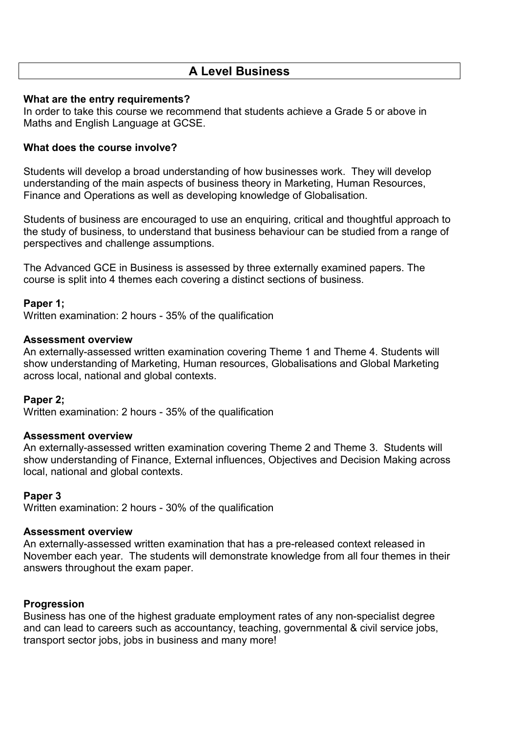# **A Level Business**

## **What are the entry requirements?**

In order to take this course we recommend that students achieve a Grade 5 or above in Maths and English Language at GCSE.

## **What does the course involve?**

Students will develop a broad understanding of how businesses work. They will develop understanding of the main aspects of business theory in Marketing, Human Resources, Finance and Operations as well as developing knowledge of Globalisation.

Students of business are encouraged to use an enquiring, critical and thoughtful approach to the study of business, to understand that business behaviour can be studied from a range of perspectives and challenge assumptions.

The Advanced GCE in Business is assessed by three externally examined papers. The course is split into 4 themes each covering a distinct sections of business.

## **Paper 1;**

Written examination: 2 hours - 35% of the qualification

#### **Assessment overview**

An externally-assessed written examination covering Theme 1 and Theme 4. Students will show understanding of Marketing, Human resources, Globalisations and Global Marketing across local, national and global contexts.

## **Paper 2;**

Written examination: 2 hours - 35% of the qualification

#### **Assessment overview**

An externally-assessed written examination covering Theme 2 and Theme 3. Students will show understanding of Finance, External influences, Objectives and Decision Making across local, national and global contexts.

#### **Paper 3**

Written examination: 2 hours - 30% of the qualification

#### **Assessment overview**

An externally-assessed written examination that has a pre-released context released in November each year. The students will demonstrate knowledge from all four themes in their answers throughout the exam paper.

#### **Progression**

Business has one of the highest graduate employment rates of any non-specialist degree and can lead to careers such as accountancy, teaching, governmental & civil service jobs, transport sector jobs, jobs in business and many more!